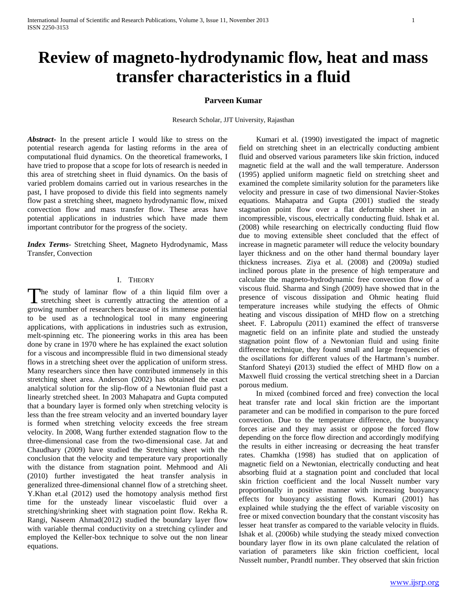# **Review of magneto-hydrodynamic flow, heat and mass transfer characteristics in a fluid**

## **Parveen Kumar**

Research Scholar, JJT University, Rajasthan

*Abstract***-** In the present article I would like to stress on the potential research agenda for lasting reforms in the area of computational fluid dynamics. On the theoretical frameworks, I have tried to propose that a scope for lots of research is needed in this area of stretching sheet in fluid dynamics. On the basis of varied problem domains carried out in various researches in the past, I have proposed to divide this field into segments namely flow past a stretching sheet, magneto hydrodynamic flow, mixed convection flow and mass transfer flow. These areas have potential applications in industries which have made them important contributor for the progress of the society.

*Index Terms*- Stretching Sheet, Magneto Hydrodynamic, Mass Transfer, Convection

### I. THEORY

The study of laminar flow of a thin liquid film over a The study of laminar flow of a thin liquid film over a stretching sheet is currently attracting the attention of a growing number of researchers because of its immense potential to be used as a technological tool in many engineering applications, with applications in industries such as extrusion, melt-spinning etc. The pioneering works in this area has been done by crane in 1970 where he has explained the exact solution for a viscous and incompressible fluid in two dimensional steady flows in a stretching sheet over the application of uniform stress. Many researchers since then have contributed immensely in this stretching sheet area. Anderson (2002) has obtained the exact analytical solution for the slip-flow of a Newtonian fluid past a linearly stretched sheet. In 2003 Mahapatra and Gupta computed that a boundary layer is formed only when stretching velocity is less than the free stream velocity and an inverted boundary layer is formed when stretching velocity exceeds the free stream velocity. In 2008, Wang further extended stagnation flow to the three-dimensional case from the two-dimensional case. Jat and Chaudhary (2009) have studied the Stretching sheet with the conclusion that the velocity and temperature vary proportionally with the distance from stagnation point. Mehmood and Ali (2010) further investigated the heat transfer analysis in generalized three-dimensional channel flow of a stretching sheet. Y.Khan et.al (2012) used the homotopy analysis method first time for the unsteady linear viscoelastic fluid over a stretching/shrinking sheet with stagnation point flow. Rekha R. Rangi, Naseem Ahmad(2012) studied the boundary layer flow with variable thermal conductivity on a stretching cylinder and employed the Keller-box technique to solve out the non linear equations.

 Kumari et al. (1990) investigated the impact of magnetic field on stretching sheet in an electrically conducting ambient fluid and observed various parameters like skin friction, induced magnetic field at the wall and the wall temperature. Andersson (1995) applied uniform magnetic field on stretching sheet and examined the complete similarity solution for the parameters like velocity and pressure in case of two dimensional Navier-Stokes equations. Mahapatra and Gupta (2001) studied the steady stagnation point flow over a flat deformable sheet in an incompressible, viscous, electrically conducting fluid. Ishak et al. (2008) while researching on electrically conducting fluid flow due to moving extensible sheet concluded that the effect of increase in magnetic parameter will reduce the velocity boundary layer thickness and on the other hand thermal boundary layer thickness increases. Ziya et al. (2008) and (2009a) studied inclined porous plate in the presence of high temperature and calculate the magneto-hydrodynamic free convection flow of a viscous fluid. Sharma and Singh (2009) have showed that in the presence of viscous dissipation and Ohmic heating fluid temperature increases while studying the effects of Ohmic heating and viscous dissipation of MHD flow on a stretching sheet. F. Labropulu (2011) examined the effect of transverse magnetic field on an infinite plate and studied the unsteady stagnation point flow of a Newtonian fluid and using finite difference technique, they found small and large frequencies of the oscillations for different values of the Hartmann's number. Stanford Shateyi **(**2013) studied the effect of MHD flow on a Maxwell fluid crossing the vertical stretching sheet in a Darcian porous medium.

 In mixed (combined forced and free) convection the local heat transfer rate and local skin friction are the important parameter and can be modified in comparison to the pure forced convection. Due to the temperature difference, the buoyancy forces arise and they may assist or oppose the forced flow depending on the force flow direction and accordingly modifying the results in either increasing or decreasing the heat transfer rates. Chamkha (1998) has studied that on application of magnetic field on a Newtonian, electrically conducting and heat absorbing fluid at a stagnation point and concluded that local skin friction coefficient and the local Nusselt number vary proportionally in positive manner with increasing buoyancy effects for buoyancy assisting flows. Kumari (2001) has explained while studying the the effect of variable viscosity on free or mixed convection boundary that the constant viscosity has lesser heat transfer as compared to the variable velocity in fluids. Ishak et al. (2006b) while studying the steady mixed convection boundary layer flow in its own plane calculated the relation of variation of parameters like skin friction coefficient, local Nusselt number, Prandtl number. They observed that skin friction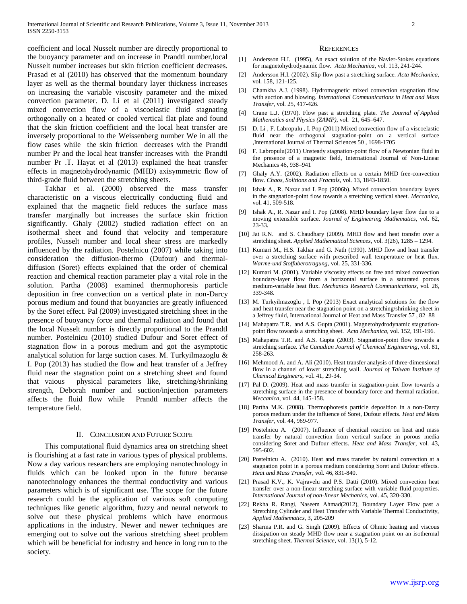coefficient and local Nusselt number are directly proportional to the buoyancy parameter and on increase in Prandtl number,local Nusselt number increases but skin friction coefficient decreases. Prasad et al (2010) has observed that the momentum boundary layer as well as the thermal boundary layer thickness increases on increasing the variable viscosity parameter and the mixed convection parameter. D. Li et al (2011) investigated steady mixed convection flow of a viscoelastic fluid stagnating orthogonally on a heated or cooled vertical flat plate and found that the skin friction coefficient and the local heat transfer are inversely proportional to the Weissenberg number We in all the flow cases while the skin friction decreases with the Prandtl number Pr and the local heat transfer increases with the Prandtl number Pr .T. Hayat et al (2013) explained the heat transfer effects in magnetohydrodynamic (MHD) axisymmetric flow of third-grade fluid between the stretching sheets.

 Takhar et al. (2000) observed the mass transfer characteristic on a viscous electrically conducting fluid and explained that the magnetic field reduces the surface mass transfer marginally but increases the surface skin friction significantly. Ghaly (2002) studied radiation effect on an isothermal sheet and found that velocity and temperature profiles, Nusselt number and local shear stress are markedly influenced by the radiation. Postelnicu (2007) while taking into consideration the diffusion-thermo (Dufour) and thermaldiffusion (Soret) effects explained that the order of chemical reaction and chemical reaction parameter play a vital role in the solution. Partha (2008) examined thermophoresis particle deposition in free convection on a vertical plate in non-Darcy porous medium and found that buoyancies are greatly influenced by the Soret effect. Pal (2009) investigated stretching sheet in the presence of buoyancy force and thermal radiation and found that the local Nusselt number is directly proportional to the Prandtl number. Postelnicu (2010) studied Dufour and Soret effect of stagnation flow in a porous medium and got the asymptotic analytical solution for large suction cases. M. Turkyilmazoglu & I. Pop (2013) has studied the flow and heat transfer of a Jeffrey fluid near the stagnation point on a stretching sheet and found that vaious physical parameters like, stretching/shrinking strength, Deborah number and suction/injection parameters affects the fluid flow while Prandtl number affects the temperature field.

#### II. CONCLUSION AND FUTURE SCOPE

 This computational fluid dynamics area on stretching sheet is flourishing at a fast rate in various types of physical problems. Now a day various researchers are employing nanotechnology in fluids which can be looked upon in the future because nanotechnology enhances the thermal conductivity and various parameters which is of significant use. The scope for the future research could be the application of various soft computing techniques like genetic algorithm, fuzzy and neural network to solve out these physical problems which have enormous applications in the industry. Newer and newer techniques are emerging out to solve out the various stretching sheet problem which will be beneficial for industry and hence in long run to the society.

#### **REFERENCES**

- [1] Andersson H.I. (1995), An exact solution of the Navier-Stokes equations for magnetohydrodynamic flow. *Acta Mechanica*, vol. 113, 241-244.
- [2] Andersson H.I. (2002). Slip flow past a stretching surface. *Acta Mechanica*, vol. 158, 121-125.
- [3] Chamkha A.J. (1998). Hydromagnetic mixed convection stagnation flow with suction and blowing. *International Communications in Heat and Mass Transfer*, vol. 25, 417-426.
- [4] Crane L.J. (1970). Flow past a stretching plate. *The Journal of Applied Mathematics and Physics (ZAMP)*, vol. 21, 645–647.
- [5] D. Li , F. Labropulu , I. Pop (2011) Mixed convection flow of a viscoelastic fluid near the orthogonal stagnation-point on a vertical surface ,International Journal of Thermal Sciences 50 , 1698-1705
- [6] F. Labropulu(2011) Unsteady stagnation-point flow of a Newtonian fluid in the presence of a magnetic field, International Journal of Non-Linear Mechanics 46, 938–941
- [7] Ghaly A.Y. (2002). Radiation effects on a certain MHD free-convection flow. *Chaos, Solitions and Fractals*, vol. 13, 1843-1850.
- [8] Ishak A., R. Nazar and I. Pop (2006b). Mixed convection boundary layers in the stagnation-point flow towards a stretching vertical sheet. *Meccanica*, vol. 41, 509-518.
- [9] Ishak A., R. Nazar and I. Pop (2008). MHD boundary layer flow due to a moving extensible surface. *Journal of Engineering Mathematics*, vol. 62, 23-33.
- [10] Jat R.N. and S. Chaudhary (2009). MHD flow and heat transfer over a stretching sheet. *Applied Mathematical Sciences*, vol. 3(26), 1285 – 1294.
- [11] Kumari M., H.S. Takhar and G. Nath (1990). MHD flow and heat transfer over a stretching surface with prescribed wall temperature or heat flux. *Warme-und Stoffuberotragung*, vol. 25, 331-336.
- [12] Kumari M. (2001). Variable viscosity effects on free and mixed convection boundary-layer flow from a horizontal surface in a saturated porous medium-variable heat flux. *Mechanics Research Communications*, vol. 28, 339-348.
- [13] M. Turkyilmazoglu, I. Pop (2013) Exact analytical solutions for the flow and heat transfer near the stagnation point on a stretching/shrinking sheet in a Jeffrey fluid, International Journal of Heat and Mass Transfer 57 , 82–88
- [14] Mahapatra T.R. and A.S. Gupta (2001). Magnetohydrodynamic stagnationpoint flow towards a stretching sheet. *Acta Mechanica*, vol. 152, 191-196.
- [15] Mahapatra T.R. and A.S. Gupta (2003). Stagnation-point flow towards a stretching surface. *The Canadian Journal of Chemical Engineering*, vol. 81, 258-263.
- [16] Mehmood A. and A. Ali (2010). Heat transfer analysis of three-dimensional flow in a channel of lower stretching wall. *Journal of Taiwan Institute of Chemical Engineers*, vol. 41, 29-34.
- [17] Pal D. (2009). Heat and mass transfer in stagnation-point flow towards a stretching surface in the presence of boundary force and thermal radiation. *Meccanica*, vol. 44, 145-158.
- [18] Partha M.K. (2008). Thermophoresis particle deposition in a non-Darcy porous medium under the influence of Soret, Dufour effects. *Heat and Mass Transfer*, vol. 44, 969-977.
- [19] Postelnicu A. (2007). Influence of chemical reaction on heat and mass transfer by natural convection from vertical surface in porous media considering Soret and Dufour effects. *Heat and Mass Transfer*, vol. 43, 595-602.
- [20] Postelnicu A. (2010). Heat and mass transfer by natural convection at a stagnation point in a porous medium considering Soret and Dufour effects. *Heat and Mass Transfer*, vol. 46, 831-840.
- [21] Prasad K.V., K. Vajravelu and P.S. Datti (2010). Mixed convection heat transfer over a non-linear stretching surface with variable fluid properties. *International Journal of non-linear Mechanics*, vol. 45, 320-330.
- [22] Rekha R. Rangi, Naseem Ahmad(2012), Boundary Layer Flow past a Stretching Cylinder and Heat Transfer with Variable Thermal Conductivity, *Applied Mathematics*, 3, 205-209
- [23] Sharma P.R. and G. Singh (2009). Effects of Ohmic heating and viscous dissipation on steady MHD flow near a stagnation point on an isothermal stretching sheet. *Thermal Science*, vol. 13(1), 5-12.